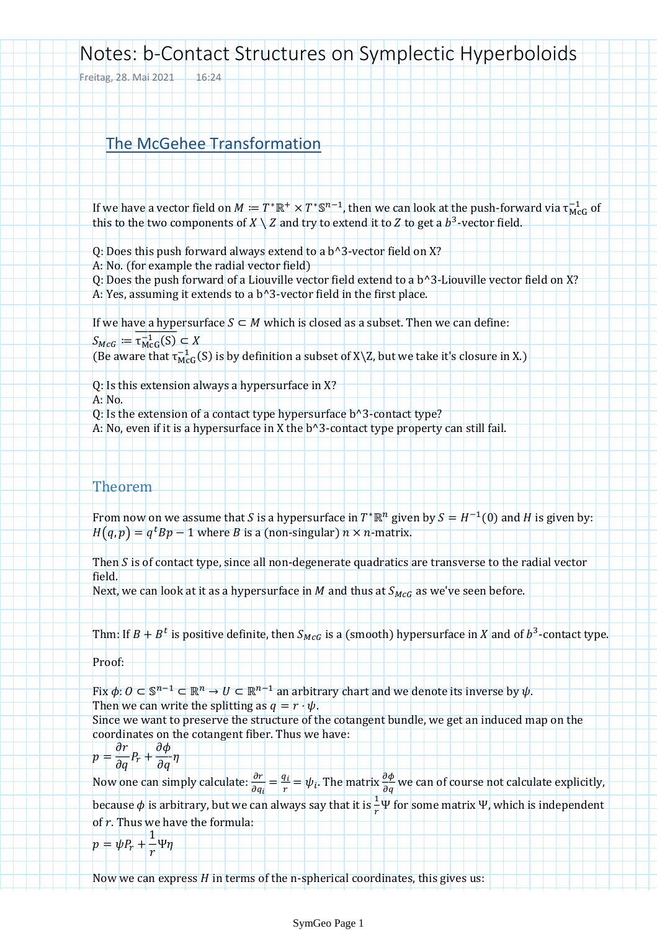## Notes: b-Contact Structures on Symplectic Hyperboloids

Freitag, 28. Mai 2021 16:24

## The McGehee Transformation

If we have a vector field on  $M := T^* \mathbb{R}^+ \times T^* \mathbb{S}^{n-1}$ , then we can look at the push-forward via  $\tau_{MCG}^{-1}$  of this to the two components of  $X \setminus Z$  and try to extend it to Z to get a  $b^3$ -vector field.

- Q: Does this push forward always extend to a b^3-vector field on X?
- A: No. (for example the radial vector field)
- Q: Does the push forward of a Liouville vector field extend to a b^3-Liouville vector field on X? A: Yes, assuming it extends to a b^3-vector field in the first place.

If we have a hypersurface  $S \subset M$  which is closed as a subset. Then we can define:

 $S_{McG} := \tau_{McG}^{-1}$ ⊄

(Be aware that  $\tau_{\text{MG}}^{-1}(S)$  is by definition a subset of X\Z, but we take it's closure in X.)

Q: Is this extension always a hypersurface in X?

A: No.

Q: Is the extension of a contact type hypersurface b^3-contact type?

A: No, even if it is a hypersurface in X the b^3-contact type property can still fail.

## Theorem

From now on we assume that S is a hypersurface in  $T^*\mathbb{R}^n$  given by  $S = H^{-1}(0)$  and H is given by:  $H(q,p) = q^t B p - 1$  where B is a (non-singular)  $n \times n$ -matrix.

Then  $S$  is of contact type, since all non-degenerate quadratics are transverse to the radial vector field.

Next, we can look at it as a hypersurface in M and thus at  $S_{MCG}$  as we've seen before.

Thm: If  $B + B^t$  is positive definite, then  $S_{McG}$  is a (smooth) hypersurface in X and of  $b^3$ -contact type.

Proof:

Fix  $\phi: O \subset \mathbb{S}^{n-1} \subset \mathbb{R}^n \to U \subset \mathbb{R}^{n-1}$  an arbitrary chart and we denote its inverse by  $\psi$ . Then we can write the splitting as  $q = r \cdot \psi$ .

Since we want to preserve the structure of the cotangent bundle, we get an induced map on the coordinates on the cotangent fiber. Thus we have:

$$
p = \frac{\partial r}{\partial q} P_r + \frac{\partial \phi}{\partial q} \eta
$$

Now one can simply calculate:  $\frac{\partial r}{\partial q_i} = \frac{q}{r}$  $\frac{q_i}{r} = \psi_i$ . The matrix  $\frac{\partial \psi}{\partial q}$  we can of course not calculate explicitly, because  $\phi$  is arbitrary, but we can always say that it is  $\frac{1}{r}\Psi$  for some matrix  $\Psi$ , which is independent of  $r$ . Thus we have the formula:

$$
p=\psi P_r+\frac{1}{r}\Psi\eta
$$

Now we can express  $H$  in terms of the n-spherical coordinates, this gives us: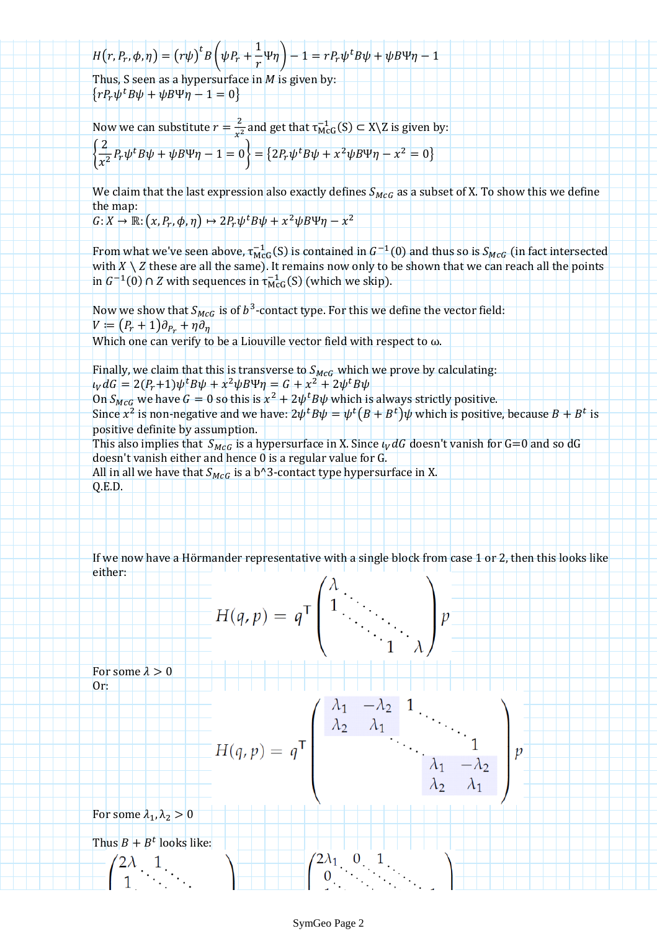$H(r, P_r, \phi, \eta) = (r\psi)^t B$  $\mathbf{1}$  $\left(\frac{1}{r}\Psi\eta\right)-1=rP_r\Psi^t$ 

Thus, S seen as a hypersurface in  $M$  is given by:  $\{rP_r\psi^t$ 

Now we can substitute  $r = \frac{2}{x^2}$  $\frac{2}{x^2}$  and get that  $\tau_{\text{McG}}^{-1}(S) \subset X \setminus Z$  is given by:

$$
\left\{\frac{2}{x^2}P_r\psi^tB\psi+\psi B\Psi\eta-1=0\right\}=\left\{2P_r\psi^tB\psi+x^2\psi B\Psi\eta-x^2=0\right\}
$$

We claim that the last expression also exactly defines  $S_{MCG}$  as a subset of X. To show this we define the map:

$$
G: X \to \mathbb{R}: (x, P_r, \phi, \eta) \mapsto 2P_r\psi^t B\psi + x^2\psi B\Psi \eta - x^2
$$

From what we've seen above,  $\tau_{\text{McG}}^{-1}(S)$  is contained in  $G^{-1}(0)$  and thus so is  $S_{MCG}$  (in fact intersected with  $X \setminus Z$  these are all the same). It remains now only to be shown that we can reach all the points in  $G^{-1}(0) \cap Z$  with sequences in  $\tau_{\text{McG}}^{-1}(S)$  (which we skip).

Now we show that  $S_{McG}$  is of  $b^3$ -contact type. For this we define the vector field:  $V := (P_r + 1)\partial_{P_r} + \eta \partial_{\eta}$ 

Which one can verify to be a Liouville vector field with respect to  $\omega$ .

Finally, we claim that this is transverse to  $S_{McG}$  which we prove by calculating:  $\iota_V dG = 2(P_r+1)\psi^t B\psi + x^2 \psi B \Psi \eta = G + x^2 + 2\psi^t$ 

On  $S_{MCG}$  we have  $G = 0$  so this is  $x^2 + 2\psi^t B \psi$  which is always strictly positive. Since  $x^2$  is non-negative and we have:  $2\psi^t B \psi = \psi^t (B + B^t) \psi$  which is positive, because  $B + B^t$  is positive definite by assumption.

This also implies that  $S_{McG}$  is a hypersurface in X. Since  $\iota_V dG$  doesn't vanish for G=0 and so dG doesn't vanish either and hence 0 is a regular value for G.

All in all we have that  $S_{McG}$  is a b^3-contact type hypersurface in X. Q.E.D.

If we now have a Hörmander representative with a single block from case 1 or 2, then this looks like either: